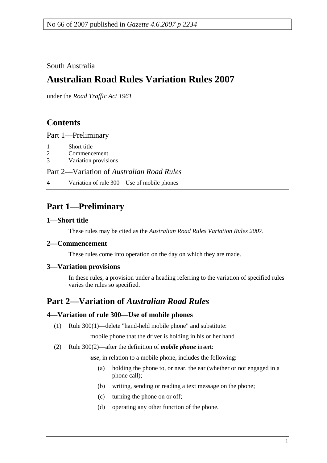South Australia

# **Australian Road Rules Variation Rules 2007**

under the *Road Traffic Act 1961*

## **Contents**

Part 1—Preliminary

- 1 Short title
- 2 Commencement
- 3 Variation provisions

Part 2—Variation of *Australian Road Rules*

4 Variation of rule 300—Use of mobile phones

## **Part 1—Preliminary**

#### **1—Short title**

These rules may be cited as the *Australian Road Rules Variation Rules 2007*.

#### **2—Commencement**

These rules come into operation on the day on which they are made.

#### **3—Variation provisions**

In these rules, a provision under a heading referring to the variation of specified rules varies the rules so specified.

## **Part 2—Variation of** *Australian Road Rules*

#### **4—Variation of rule 300—Use of mobile phones**

(1) Rule 300(1)—delete "hand-held mobile phone" and substitute:

mobile phone that the driver is holding in his or her hand

(2) Rule 300(2)—after the definition of *mobile phone* insert:

*use*, in relation to a mobile phone, includes the following:

- (a) holding the phone to, or near, the ear (whether or not engaged in a phone call);
- (b) writing, sending or reading a text message on the phone;
- (c) turning the phone on or off;
- (d) operating any other function of the phone.